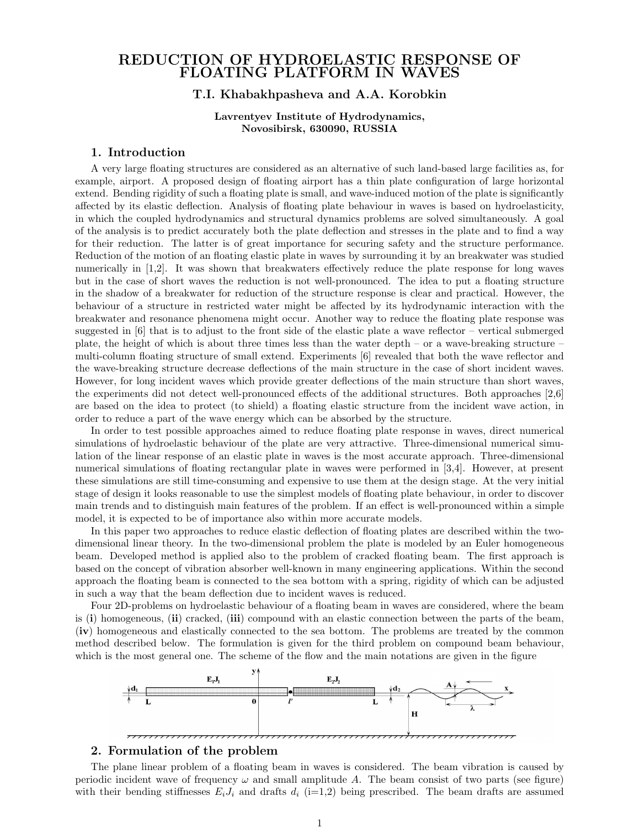# REDUCTION OF HYDROELASTIC RESPONSE OF FLOATING PLATFORM IN WAVES

# T.I. Khabakhpasheva and A.A. Korobkin

#### Lavrentyev Institute of Hydrodynamics, Novosibirsk, 630090, RUSSIA

## 1. Introduction

A very large floating structures are considered as an alternative of such land-based large facilities as, for example, airport. A proposed design of floating airport has a thin plate configuration of large horizontal extend. Bending rigidity of such a floating plate is small, and wave-induced motion of the plate is significantly affected by its elastic deflection. Analysis of floating plate behaviour in waves is based on hydroelasticity, in which the coupled hydrodynamics and structural dynamics problems are solved simultaneously. A goal of the analysis is to predict accurately both the plate deflection and stresses in the plate and to find a way for their reduction. The latter is of great importance for securing safety and the structure performance. Reduction of the motion of an floating elastic plate in waves by surrounding it by an breakwater was studied numerically in [1,2]. It was shown that breakwaters effectively reduce the plate response for long waves but in the case of short waves the reduction is not well-pronounced. The idea to put a floating structure in the shadow of a breakwater for reduction of the structure response is clear and practical. However, the behaviour of a structure in restricted water might be affected by its hydrodynamic interaction with the breakwater and resonance phenomena might occur. Another way to reduce the floating plate response was suggested in [6] that is to adjust to the front side of the elastic plate a wave reflector – vertical submerged plate, the height of which is about three times less than the water depth – or a wave-breaking structure – multi-column floating structure of small extend. Experiments [6] revealed that both the wave reflector and the wave-breaking structure decrease deflections of the main structure in the case of short incident waves. However, for long incident waves which provide greater deflections of the main structure than short waves, the experiments did not detect well-pronounced effects of the additional structures. Both approaches [2,6] are based on the idea to protect (to shield) a floating elastic structure from the incident wave action, in order to reduce a part of the wave energy which can be absorbed by the structure.

In order to test possible approaches aimed to reduce floating plate response in waves, direct numerical simulations of hydroelastic behaviour of the plate are very attractive. Three-dimensional numerical simulation of the linear response of an elastic plate in waves is the most accurate approach. Three-dimensional numerical simulations of floating rectangular plate in waves were performed in [3,4]. However, at present these simulations are still time-consuming and expensive to use them at the design stage. At the very initial stage of design it looks reasonable to use the simplest models of floating plate behaviour, in order to discover main trends and to distinguish main features of the problem. If an effect is well-pronounced within a simple model, it is expected to be of importance also within more accurate models.

In this paper two approaches to reduce elastic deflection of floating plates are described within the twodimensional linear theory. In the two-dimensional problem the plate is modeled by an Euler homogeneous beam. Developed method is applied also to the problem of cracked floating beam. The first approach is based on the concept of vibration absorber well-known in many engineering applications. Within the second approach the floating beam is connected to the sea bottom with a spring, rigidity of which can be adjusted in such a way that the beam deflection due to incident waves is reduced.

Four 2D-problems on hydroelastic behaviour of a floating beam in waves are considered, where the beam is (i) homogeneous, (ii) cracked, (iii) compound with an elastic connection between the parts of the beam, (iv) homogeneous and elastically connected to the sea bottom. The problems are treated by the common method described below. The formulation is given for the third problem on compound beam behaviour, which is the most general one. The scheme of the flow and the main notations are given in the figure



## 2. Formulation of the problem

The plane linear problem of a floating beam in waves is considered. The beam vibration is caused by periodic incident wave of frequency  $\omega$  and small amplitude A. The beam consist of two parts (see figure) with their bending stiffnesses  $E_iJ_i$  and drafts  $d_i$  (i=1,2) being prescribed. The beam drafts are assumed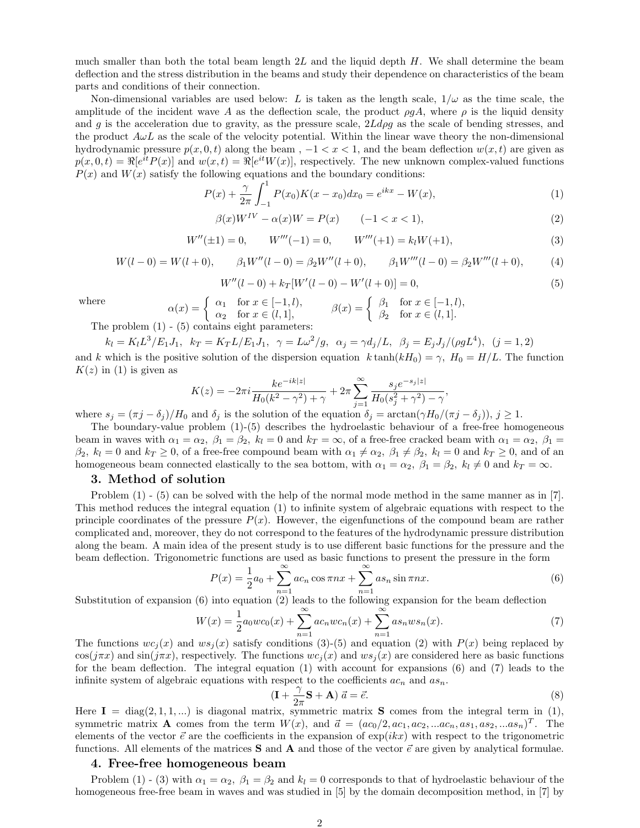much smaller than both the total beam length  $2L$  and the liquid depth H. We shall determine the beam deflection and the stress distribution in the beams and study their dependence on characteristics of the beam parts and conditions of their connection.

Non-dimensional variables are used below: L is taken as the length scale,  $1/\omega$  as the time scale, the amplitude of the incident wave A as the deflection scale, the product  $\rho g A$ , where  $\rho$  is the liquid density and g is the acceleration due to gravity, as the pressure scale,  $2Ld\rho g$  as the scale of bending stresses, and the product  $A\omega L$  as the scale of the velocity potential. Within the linear wave theory the non-dimensional hydrodynamic pressure  $p(x, 0, t)$  along the beam ,  $-1 < x < 1$ , and the beam deflection  $w(x, t)$  are given as  $p(x, 0, t) = \Re[e^{it} P(x)]$  and  $w(x, t) = \Re[e^{it} W(x)]$ , respectively. The new unknown complex-valued functions  $P(x)$  and  $W(x)$  satisfy the following equations and the boundary conditions:

$$
P(x) + \frac{\gamma}{2\pi} \int_{-1}^{1} P(x_0) K(x - x_0) dx_0 = e^{ikx} - W(x), \tag{1}
$$

$$
\beta(x)W^{IV} - \alpha(x)W = P(x) \qquad (-1 < x < 1),\tag{2}
$$

$$
W''(\pm 1) = 0, \qquad W'''(-1) = 0, \qquad W'''(+1) = k_l W(+1), \tag{3}
$$

$$
W(l-0) = W(l+0), \qquad \beta_1 W''(l-0) = \beta_2 W''(l+0), \qquad \beta_1 W'''(l-0) = \beta_2 W'''(l+0), \tag{4}
$$

$$
W''(l-0) + k_T[W'(l-0) - W'(l+0)] = 0,
$$
\n(5)

where

 $\alpha(x) = \begin{cases} \alpha_1 & \text{for } x \in [-1, l), \\ \alpha_2 & \text{for } x \in (l, 1], \end{cases}$  $\alpha_1$  for  $x \in [-1, l)$ ,<br>  $\alpha_2$  for  $x \in (l, 1]$ ,<br>  $\beta(x) = \begin{cases} \beta_1 & \text{for } x \in [-1, l) \\ \beta_2 & \text{for } x \in (l, 1] \end{cases}$ .  $\beta_2$  for  $x \in (l, 1]$ .

The problem  $(1)$  -  $(5)$  contains eight parameters:

 $k_l = K_l L^3 / E_1 J_1, \ \ k_T = K_T L / E_1 J_1, \ \ \gamma = L \omega^2 / g, \ \ \alpha_j = \gamma d_j / L, \ \ \beta_j = E_j J_j / (\rho g L^4), \ \ (j = 1, 2)$ and k which is the positive solution of the dispersion equation  $k \tanh(kH_0) = \gamma$ ,  $H_0 = H/L$ . The function  $K(z)$  in (1) is given as

$$
K(z) = -2\pi i \frac{k e^{-ik|z|}}{H_0(k^2 - \gamma^2) + \gamma} + 2\pi \sum_{j=1}^{\infty} \frac{s_j e^{-s_j|z|}}{H_0(s_j^2 + \gamma^2) - \gamma},
$$

where  $s_j = (\pi j - \delta_j)/H_0$  and  $\delta_j$  is the solution of the equation  $\delta_j = \arctan(\gamma H_0/(\pi j - \delta_j))$ ,  $j \ge 1$ .

The boundary-value problem (1)-(5) describes the hydroelastic behaviour of a free-free homogeneous beam in waves with  $\alpha_1 = \alpha_2$ ,  $\beta_1 = \beta_2$ ,  $k_l = 0$  and  $k_T = \infty$ , of a free-free cracked beam with  $\alpha_1 = \alpha_2$ ,  $\beta_1 =$  $\beta_2$ ,  $k_l = 0$  and  $k_T \geq 0$ , of a free-free compound beam with  $\alpha_1 \neq \alpha_2$ ,  $\beta_1 \neq \beta_2$ ,  $k_l = 0$  and  $k_T \geq 0$ , and of an homogeneous beam connected elastically to the sea bottom, with  $\alpha_1 = \alpha_2$ ,  $\beta_1 = \beta_2$ ,  $k_l \neq 0$  and  $k_T = \infty$ .

#### 3. Method of solution

Problem (1) - (5) can be solved with the help of the normal mode method in the same manner as in [7]. This method reduces the integral equation (1) to infinite system of algebraic equations with respect to the principle coordinates of the pressure  $P(x)$ . However, the eigenfunctions of the compound beam are rather complicated and, moreover, they do not correspond to the features of the hydrodynamic pressure distribution along the beam. A main idea of the present study is to use different basic functions for the pressure and the beam deflection. Trigonometric functions are used as basic functions to present the pressure in the form

$$
P(x) = \frac{1}{2}a_0 + \sum_{n=1}^{\infty} ac_n \cos \pi nx + \sum_{n=1}^{\infty} as_n \sin \pi nx.
$$
 (6)

Substitution of expansion (6) into equation (2) leads to the following expansion for the beam deflection

$$
W(x) = \frac{1}{2}a_0wc_0(x) + \sum_{n=1}^{\infty} ac_nwc_n(x) + \sum_{n=1}^{\infty} as_nws_n(x).
$$
 (7)

The functions  $wc_i(x)$  and  $ws_i(x)$  satisfy conditions (3)-(5) and equation (2) with  $P(x)$  being replaced by  $\cos(j\pi x)$  and  $\sin(j\pi x)$ , respectively. The functions  $wc_i(x)$  and  $ws_i(x)$  are considered here as basic functions for the beam deflection. The integral equation (1) with account for expansions (6) and (7) leads to the infinite system of algebraic equations with respect to the coefficients  $ac_n$  and  $as_n$ .

$$
(\mathbf{I} + \frac{\gamma}{2\pi}\mathbf{S} + \mathbf{A})\ \vec{a} = \vec{e}.\tag{8}
$$

Here  $I = diag(2, 1, 1, ...)$  is diagonal matrix, symmetric matrix **S** comes from the integral term in (1), symmetric matrix **A** comes from the term  $W(x)$ , and  $\vec{a} = (ac_0/2, ac_1, ac_2, ...ac_n, as_1, as_2, ...as_n)^T$ . The elements of the vector  $\vec{e}$  are the coefficients in the expansion of  $\exp(ikx)$  with respect to the trigonometric functions. All elements of the matrices **S** and **A** and those of the vector  $\vec{e}$  are given by analytical formulae.

## 4. Free-free homogeneous beam

Problem (1) - (3) with  $\alpha_1 = \alpha_2$ ,  $\beta_1 = \beta_2$  and  $k_l = 0$  corresponds to that of hydroelastic behaviour of the homogeneous free-free beam in waves and was studied in [5] by the domain decomposition method, in [7] by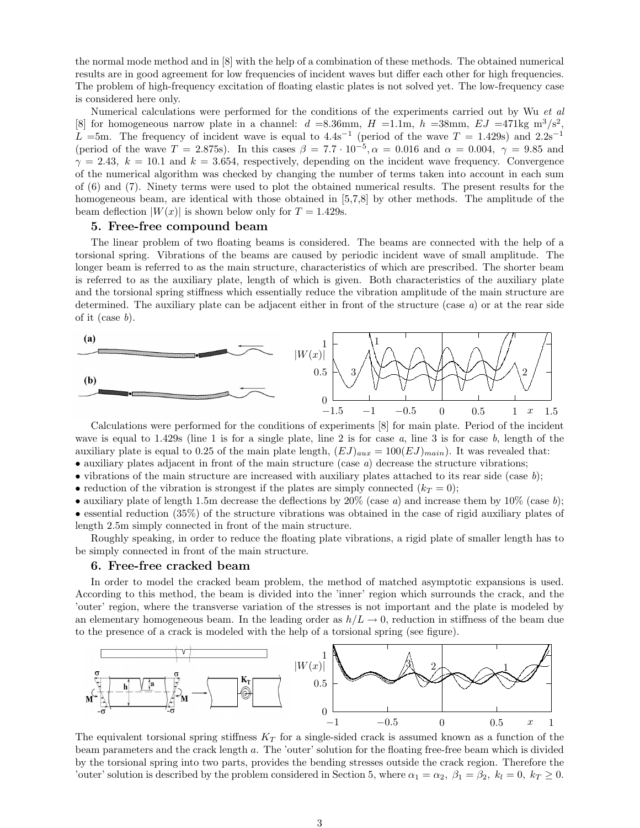the normal mode method and in [8] with the help of a combination of these methods. The obtained numerical results are in good agreement for low frequencies of incident waves but differ each other for high frequencies. The problem of high-frequency excitation of floating elastic plates is not solved yet. The low-frequency case is considered here only.

Numerical calculations were performed for the conditions of the experiments carried out by Wu et al. [8] for homogeneous narrow plate in a channel:  $d = 8.36$ mm,  $H = 1.1$ m,  $h = 38$ mm,  $EJ = 471$ kg m<sup>3</sup>/s<sup>2</sup>, L =5m. The frequency of incident wave is equal to  $4.4s^{-1}$  (period of the wave  $T = 1.429s$ ) and  $2.2s^{-1}$ (period of the wave  $T = 2.875$ s). In this cases  $\beta = 7.7 \cdot 10^{-5}$ ,  $\alpha = 0.016$  and  $\alpha = 0.004$ ,  $\gamma = 9.85$  and  $\gamma = 2.43$ ,  $k = 10.1$  and  $k = 3.654$ , respectively, depending on the incident wave frequency. Convergence of the numerical algorithm was checked by changing the number of terms taken into account in each sum of (6) and (7). Ninety terms were used to plot the obtained numerical results. The present results for the homogeneous beam, are identical with those obtained in [5,7,8] by other methods. The amplitude of the beam deflection  $|W(x)|$  is shown below only for  $T = 1.429$ s.

# 5. Free-free compound beam

The linear problem of two floating beams is considered. The beams are connected with the help of a torsional spring. Vibrations of the beams are caused by periodic incident wave of small amplitude. The longer beam is referred to as the main structure, characteristics of which are prescribed. The shorter beam is referred to as the auxiliary plate, length of which is given. Both characteristics of the auxiliary plate and the torsional spring stiffness which essentially reduce the vibration amplitude of the main structure are determined. The auxiliary plate can be adjacent either in front of the structure (case a) or at the rear side of it (case  $b$ ).



Calculations were performed for the conditions of experiments [8] for main plate. Period of the incident wave is equal to  $1.429$ s (line 1 is for a single plate, line 2 is for case a, line 3 is for case b, length of the auxiliary plate is equal to 0.25 of the main plate length,  $(EJ)_{aux} = 100(EJ)_{main}$ ). It was revealed that:  $\bullet$  auxiliary plates adjacent in front of the main structure (case a) decrease the structure vibrations;

• vibrations of the main structure are increased with auxiliary plates attached to its rear side (case  $b$ );

• reduction of the vibration is strongest if the plates are simply connected  $(k_T = 0)$ ;

• auxiliary plate of length 1.5m decrease the deflections by  $20\%$  (case a) and increase them by  $10\%$  (case b);

• essential reduction (35%) of the structure vibrations was obtained in the case of rigid auxiliary plates of length 2.5m simply connected in front of the main structure.

Roughly speaking, in order to reduce the floating plate vibrations, a rigid plate of smaller length has to be simply connected in front of the main structure.

#### 6. Free-free cracked beam

In order to model the cracked beam problem, the method of matched asymptotic expansions is used. According to this method, the beam is divided into the 'inner' region which surrounds the crack, and the 'outer' region, where the transverse variation of the stresses is not important and the plate is modeled by an elementary homogeneous beam. In the leading order as  $h/L \rightarrow 0$ , reduction in stiffness of the beam due to the presence of a crack is modeled with the help of a torsional spring (see figure).



The equivalent torsional spring stiffness  $K_T$  for a single-sided crack is assumed known as a function of the beam parameters and the crack length a. The 'outer' solution for the floating free-free beam which is divided by the torsional spring into two parts, provides the bending stresses outside the crack region. Therefore the 'outer' solution is described by the problem considered in Section 5, where  $\alpha_1 = \alpha_2$ ,  $\beta_1 = \beta_2$ ,  $k_l = 0$ ,  $k_T \ge 0$ .